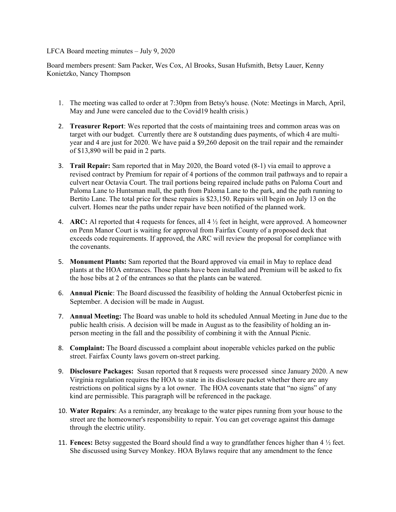## LFCA Board meeting minutes – July 9, 2020

Board members present: Sam Packer, Wes Cox, Al Brooks, Susan Hufsmith, Betsy Lauer, Kenny Konietzko, Nancy Thompson

- 1. The meeting was called to order at 7:30pm from Betsy's house. (Note: Meetings in March, April, May and June were canceled due to the Covid19 health crisis.)
- 2. **Treasurer Report**: Wes reported that the costs of maintaining trees and common areas was on target with our budget. Currently there are 8 outstanding dues payments, of which 4 are multiyear and 4 are just for 2020. We have paid a \$9,260 deposit on the trail repair and the remainder of \$13,890 will be paid in 2 parts.
- 3. **Trail Repair:** Sam reported that in May 2020, the Board voted (8-1) via email to approve a revised contract by Premium for repair of 4 portions of the common trail pathways and to repair a culvert near Octavia Court. The trail portions being repaired include paths on Paloma Court and Paloma Lane to Huntsman mall, the path from Paloma Lane to the park, and the path running to Bertito Lane. The total price for these repairs is \$23,150. Repairs will begin on July 13 on the culvert. Homes near the paths under repair have been notified of the planned work.
- 4. **ARC:** Al reported that 4 requests for fences, all 4 ½ feet in height, were approved. A homeowner on Penn Manor Court is waiting for approval from Fairfax County of a proposed deck that exceeds code requirements. If approved, the ARC will review the proposal for compliance with the covenants.
- 5. **Monument Plants:** Sam reported that the Board approved via email in May to replace dead plants at the HOA entrances. Those plants have been installed and Premium will be asked to fix the hose bibs at 2 of the entrances so that the plants can be watered.
- 6. **Annual Picnic**: The Board discussed the feasibility of holding the Annual Octoberfest picnic in September. A decision will be made in August.
- 7. **Annual Meeting:** The Board was unable to hold its scheduled Annual Meeting in June due to the public health crisis. A decision will be made in August as to the feasibility of holding an inperson meeting in the fall and the possibility of combining it with the Annual Picnic.
- 8. **Complaint:** The Board discussed a complaint about inoperable vehicles parked on the public street. Fairfax County laws govern on-street parking.
- 9. **Disclosure Packages:** Susan reported that 8 requests were processed since January 2020. A new Virginia regulation requires the HOA to state in its disclosure packet whether there are any restrictions on political signs by a lot owner. The HOA covenants state that "no signs" of any kind are permissible. This paragraph will be referenced in the package.
- 10. **Water Repairs**: As a reminder, any breakage to the water pipes running from your house to the street are the homeowner's responsibility to repair. You can get coverage against this damage through the electric utility.
- 11. **Fences:** Betsy suggested the Board should find a way to grandfather fences higher than 4 ½ feet. She discussed using Survey Monkey. HOA Bylaws require that any amendment to the fence